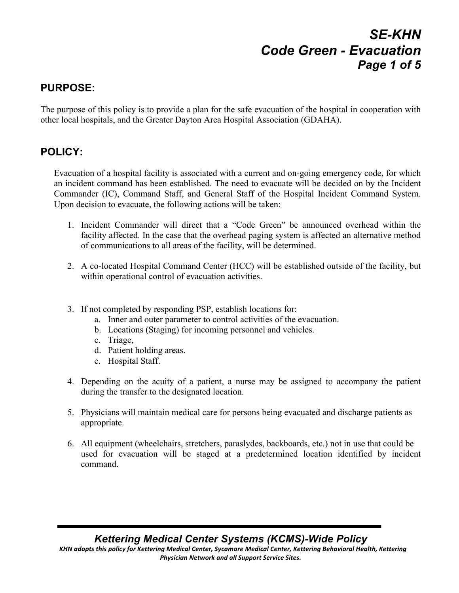# *SE-KHN Code Green - Evacuation Page 1 of 5*

#### **PURPOSE:**

The purpose of this policy is to provide a plan for the safe evacuation of the hospital in cooperation with other local hospitals, and the Greater Dayton Area Hospital Association (GDAHA).

#### **POLICY:**

Evacuation of a hospital facility is associated with a current and on-going emergency code, for which an incident command has been established. The need to evacuate will be decided on by the Incident Commander (IC), Command Staff, and General Staff of the Hospital Incident Command System. Upon decision to evacuate, the following actions will be taken:

- 1. Incident Commander will direct that a "Code Green" be announced overhead within the facility affected. In the case that the overhead paging system is affected an alternative method of communications to all areas of the facility, will be determined.
- 2. A co-located Hospital Command Center (HCC) will be established outside of the facility, but within operational control of evacuation activities.
- 3. If not completed by responding PSP, establish locations for:
	- a. Inner and outer parameter to control activities of the evacuation.
	- b. Locations (Staging) for incoming personnel and vehicles.
	- c. Triage,
	- d. Patient holding areas.
	- e. Hospital Staff.
- 4. Depending on the acuity of a patient, a nurse may be assigned to accompany the patient during the transfer to the designated location.
- 5. Physicians will maintain medical care for persons being evacuated and discharge patients as appropriate.
- 6. All equipment (wheelchairs, stretchers, paraslydes, backboards, etc.) not in use that could be used for evacuation will be staged at a predetermined location identified by incident command.

#### *Kettering Medical Center Systems (KCMS)-Wide Policy* KHN adopts this policy for Kettering Medical Center, Sycamore Medical Center, Kettering Behavioral Health, Kettering **Physician Network and all Support Service Sites.**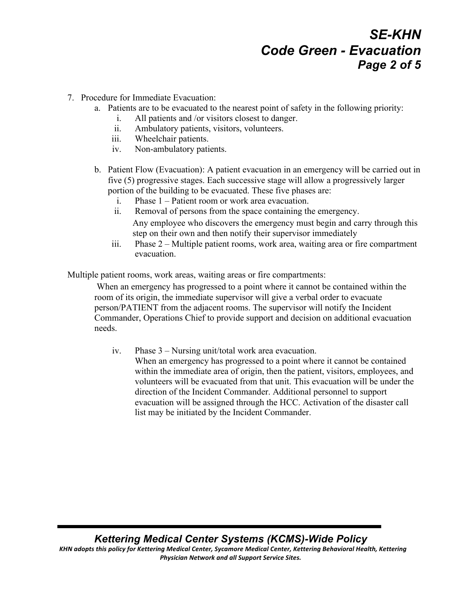# *SE-KHN Code Green - Evacuation Page 2 of 5*

- 7. Procedure for Immediate Evacuation:
	- a. Patients are to be evacuated to the nearest point of safety in the following priority:
		- i. All patients and /or visitors closest to danger.
		- ii. Ambulatory patients, visitors, volunteers.
		- iii. Wheelchair patients.
		- iv. Non-ambulatory patients.
	- b. Patient Flow (Evacuation): A patient evacuation in an emergency will be carried out in five (5) progressive stages. Each successive stage will allow a progressively larger portion of the building to be evacuated. These five phases are:
		- i. Phase 1 Patient room or work area evacuation.
		- ii. Removal of persons from the space containing the emergency. Any employee who discovers the emergency must begin and carry through this step on their own and then notify their supervisor immediately
		- iii. Phase 2 Multiple patient rooms, work area, waiting area or fire compartment evacuation.

Multiple patient rooms, work areas, waiting areas or fire compartments:

When an emergency has progressed to a point where it cannot be contained within the room of its origin, the immediate supervisor will give a verbal order to evacuate person/PATIENT from the adjacent rooms. The supervisor will notify the Incident Commander, Operations Chief to provide support and decision on additional evacuation needs.

iv. Phase 3 – Nursing unit/total work area evacuation. When an emergency has progressed to a point where it cannot be contained within the immediate area of origin, then the patient, visitors, employees, and volunteers will be evacuated from that unit. This evacuation will be under the direction of the Incident Commander. Additional personnel to support evacuation will be assigned through the HCC. Activation of the disaster call list may be initiated by the Incident Commander.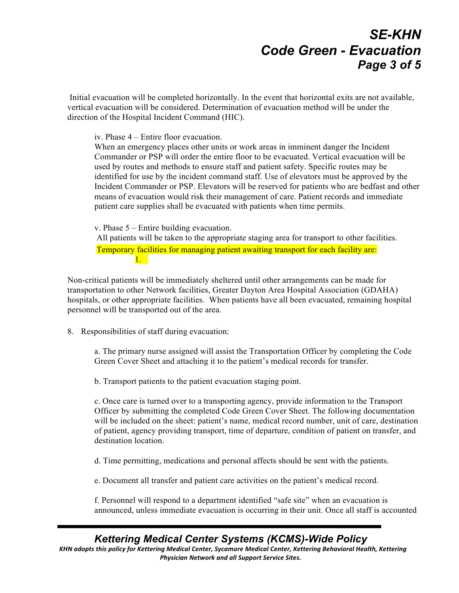## *SE-KHN Code Green - Evacuation Page 3 of 5*

Initial evacuation will be completed horizontally. In the event that horizontal exits are not available, vertical evacuation will be considered. Determination of evacuation method will be under the direction of the Hospital Incident Command (HIC).

iv. Phase 4 – Entire floor evacuation.

When an emergency places other units or work areas in imminent danger the Incident Commander or PSP will order the entire floor to be evacuated. Vertical evacuation will be used by routes and methods to ensure staff and patient safety. Specific routes may be identified for use by the incident command staff. Use of elevators must be approved by the Incident Commander or PSP. Elevators will be reserved for patients who are bedfast and other means of evacuation would risk their management of care. Patient records and immediate patient care supplies shall be evacuated with patients when time permits.

v. Phase 5 – Entire building evacuation.

All patients will be taken to the appropriate staging area for transport to other facilities. Temporary facilities for managing patient awaiting transport for each facility are: 1.

Non-critical patients will be immediately sheltered until other arrangements can be made for transportation to other Network facilities, Greater Dayton Area Hospital Association (GDAHA) hospitals, or other appropriate facilities. When patients have all been evacuated, remaining hospital personnel will be transported out of the area.

8. Responsibilities of staff during evacuation:

a. The primary nurse assigned will assist the Transportation Officer by completing the Code Green Cover Sheet and attaching it to the patient's medical records for transfer.

b. Transport patients to the patient evacuation staging point.

c. Once care is turned over to a transporting agency, provide information to the Transport Officer by submitting the completed Code Green Cover Sheet. The following documentation will be included on the sheet: patient's name, medical record number, unit of care, destination of patient, agency providing transport, time of departure, condition of patient on transfer, and destination location.

- d. Time permitting, medications and personal affects should be sent with the patients.
- e. Document all transfer and patient care activities on the patient's medical record.

f. Personnel will respond to a department identified "safe site" when an evacuation is announced, unless immediate evacuation is occurring in their unit. Once all staff is accounted

#### *Kettering Medical Center Systems (KCMS)-Wide Policy*

KHN adopts this policy for Kettering Medical Center, Sycamore Medical Center, Kettering Behavioral Health, Kettering **Physician Network and all Support Service Sites.**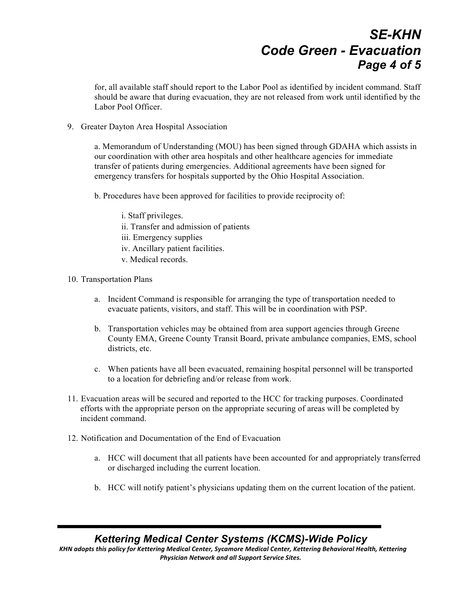# *SE-KHN Code Green - Evacuation Page 4 of 5*

for, all available staff should report to the Labor Pool as identified by incident command. Staff should be aware that during evacuation, they are not released from work until identified by the Labor Pool Officer.

9. Greater Dayton Area Hospital Association

a. Memorandum of Understanding (MOU) has been signed through GDAHA which assists in our coordination with other area hospitals and other healthcare agencies for immediate transfer of patients during emergencies. Additional agreements have been signed for emergency transfers for hospitals supported by the Ohio Hospital Association.

b. Procedures have been approved for facilities to provide reciprocity of:

i. Staff privileges. ii. Transfer and admission of patients iii. Emergency supplies

- iv. Ancillary patient facilities.
- v. Medical records.
- 10. Transportation Plans
	- a. Incident Command is responsible for arranging the type of transportation needed to evacuate patients, visitors, and staff. This will be in coordination with PSP.
	- b. Transportation vehicles may be obtained from area support agencies through Greene County EMA, Greene County Transit Board, private ambulance companies, EMS, school districts, etc.
	- c. When patients have all been evacuated, remaining hospital personnel will be transported to a location for debriefing and/or release from work.
- 11. Evacuation areas will be secured and reported to the HCC for tracking purposes. Coordinated efforts with the appropriate person on the appropriate securing of areas will be completed by incident command.
- 12. Notification and Documentation of the End of Evacuation
	- a. HCC will document that all patients have been accounted for and appropriately transferred or discharged including the current location.
	- b. HCC will notify patient's physicians updating them on the current location of the patient.

#### *Kettering Medical Center Systems (KCMS)-Wide Policy*

KHN adopts this policy for Kettering Medical Center, Sycamore Medical Center, Kettering Behavioral Health, Kettering **Physician Network and all Support Service Sites.**